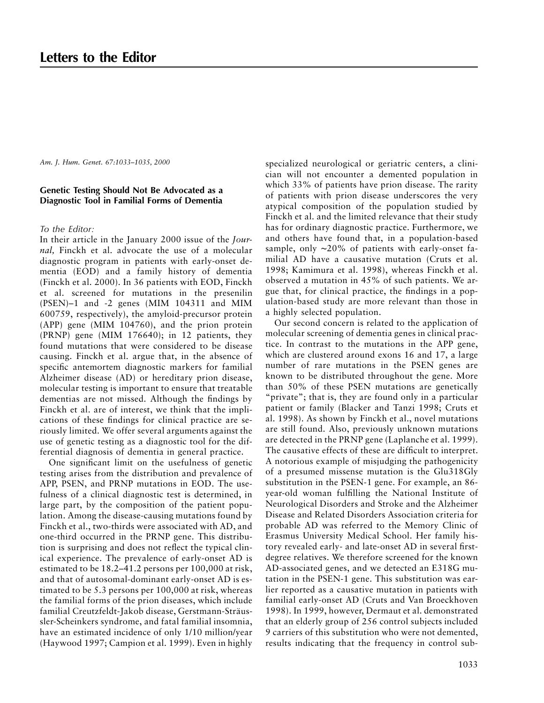*Am. J. Hum. Genet. 67:1033–1035, 2000*

# **Genetic Testing Should Not Be Advocated as a Diagnostic Tool in Familial Forms of Dementia**

# *To the Editor:*

In their article in the January 2000 issue of the *Journal,* Finckh et al. advocate the use of a molecular diagnostic program in patients with early-onset dementia (EOD) and a family history of dementia (Finckh et al. 2000). In 36 patients with EOD, Finckh et al. screened for mutations in the presenilin (PSEN)–1 and -2 genes (MIM 104311 and MIM 600759, respectively), the amyloid-precursor protein (APP) gene (MIM 104760), and the prion protein (PRNP) gene (MIM 176640); in 12 patients, they found mutations that were considered to be disease causing. Finckh et al. argue that, in the absence of specific antemortem diagnostic markers for familial Alzheimer disease (AD) or hereditary prion disease, molecular testing is important to ensure that treatable dementias are not missed. Although the findings by Finckh et al. are of interest, we think that the implications of these findings for clinical practice are seriously limited. We offer several arguments against the use of genetic testing as a diagnostic tool for the differential diagnosis of dementia in general practice.

One significant limit on the usefulness of genetic testing arises from the distribution and prevalence of APP, PSEN, and PRNP mutations in EOD. The usefulness of a clinical diagnostic test is determined, in large part, by the composition of the patient population. Among the disease-causing mutations found by Finckh et al., two-thirds were associated with AD, and one-third occurred in the PRNP gene. This distribution is surprising and does not reflect the typical clinical experience. The prevalence of early-onset AD is estimated to be 18.2–41.2 persons per 100,000 at risk, and that of autosomal-dominant early-onset AD is estimated to be 5.3 persons per 100,000 at risk, whereas the familial forms of the prion diseases, which include familial Creutzfeldt-Jakob disease, Gerstmann-Sträussler-Scheinkers syndrome, and fatal familial insomnia, have an estimated incidence of only 1/10 million/year (Haywood 1997; Campion et al. 1999). Even in highly

specialized neurological or geriatric centers, a clinician will not encounter a demented population in which 33% of patients have prion disease. The rarity of patients with prion disease underscores the very atypical composition of the population studied by Finckh et al. and the limited relevance that their study has for ordinary diagnostic practice. Furthermore, we and others have found that, in a population-based sample, only ∼20% of patients with early-onset familial AD have a causative mutation (Cruts et al. 1998; Kamimura et al. 1998), whereas Finckh et al. observed a mutation in 45% of such patients. We argue that, for clinical practice, the findings in a population-based study are more relevant than those in a highly selected population.

Our second concern is related to the application of molecular screening of dementia genes in clinical practice. In contrast to the mutations in the APP gene, which are clustered around exons 16 and 17, a large number of rare mutations in the PSEN genes are known to be distributed throughout the gene. More than 50% of these PSEN mutations are genetically "private"; that is, they are found only in a particular patient or family (Blacker and Tanzi 1998; Cruts et al. 1998). As shown by Finckh et al., novel mutations are still found. Also, previously unknown mutations are detected in the PRNP gene (Laplanche et al. 1999). The causative effects of these are difficult to interpret. A notorious example of misjudging the pathogenicity of a presumed missense mutation is the Glu318Gly substitution in the PSEN-1 gene. For example, an 86 year-old woman fulfilling the National Institute of Neurological Disorders and Stroke and the Alzheimer Disease and Related Disorders Association criteria for probable AD was referred to the Memory Clinic of Erasmus University Medical School. Her family history revealed early- and late-onset AD in several firstdegree relatives. We therefore screened for the known AD-associated genes, and we detected an E318G mutation in the PSEN-1 gene. This substitution was earlier reported as a causative mutation in patients with familial early-onset AD (Cruts and Van Broeckhoven 1998). In 1999, however, Dermaut et al. demonstrated that an elderly group of 256 control subjects included 9 carriers of this substitution who were not demented, results indicating that the frequency in control sub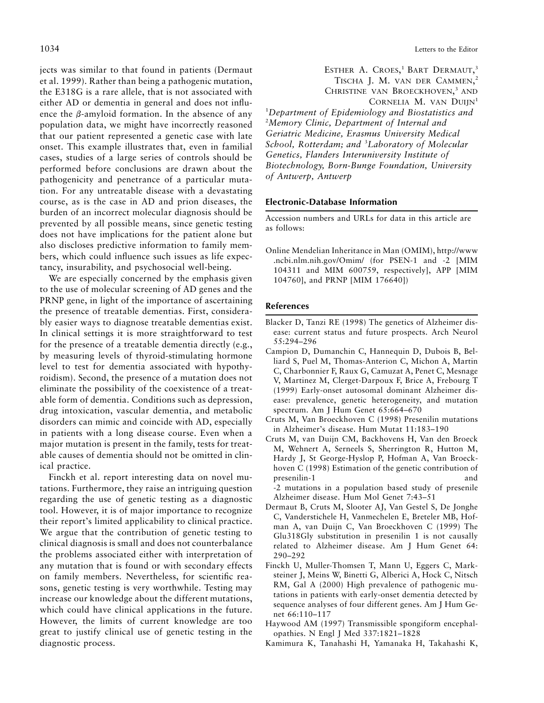jects was similar to that found in patients (Dermaut et al. 1999). Rather than being a pathogenic mutation, the E318G is a rare allele, that is not associated with either AD or dementia in general and does not influence the  $\beta$ -amyloid formation. In the absence of any population data, we might have incorrectly reasoned that our patient represented a genetic case with late onset. This example illustrates that, even in familial cases, studies of a large series of controls should be performed before conclusions are drawn about the pathogenicity and penetrance of a particular mutation. For any untreatable disease with a devastating course, as is the case in AD and prion diseases, the burden of an incorrect molecular diagnosis should be prevented by all possible means, since genetic testing does not have implications for the patient alone but also discloses predictive information to family members, which could influence such issues as life expectancy, insurability, and psychosocial well-being.

We are especially concerned by the emphasis given to the use of molecular screening of AD genes and the PRNP gene, in light of the importance of ascertaining the presence of treatable dementias. First, considerably easier ways to diagnose treatable dementias exist. In clinical settings it is more straightforward to test for the presence of a treatable dementia directly (e.g., by measuring levels of thyroid-stimulating hormone level to test for dementia associated with hypothyroidism). Second, the presence of a mutation does not eliminate the possibility of the coexistence of a treatable form of dementia. Conditions such as depression, drug intoxication, vascular dementia, and metabolic disorders can mimic and coincide with AD, especially in patients with a long disease course. Even when a major mutation is present in the family, tests for treatable causes of dementia should not be omitted in clinical practice.

Finckh et al. report interesting data on novel mutations. Furthermore, they raise an intriguing question regarding the use of genetic testing as a diagnostic tool. However, it is of major importance to recognize their report's limited applicability to clinical practice. We argue that the contribution of genetic testing to clinical diagnosis is small and does not counterbalance the problems associated either with interpretation of any mutation that is found or with secondary effects on family members. Nevertheless, for scientific reasons, genetic testing is very worthwhile. Testing may increase our knowledge about the different mutations, which could have clinical applications in the future. However, the limits of current knowledge are too great to justify clinical use of genetic testing in the diagnostic process.

ESTHER A. CROES,<sup>1</sup> BART DERMAUT,<sup>3</sup> TISCHA J. M. VAN DER CAMMEN,<sup>2</sup> CHRISTINE VAN BROECKHOVEN,<sup>3</sup> AND CORNELIA M. VAN DUIJN<sup>1</sup>

1 *Department of Epidemiology and Biostatistics and* 2 *Memory Clinic, Department of Internal and Geriatric Medicine, Erasmus University Medical School, Rotterdam; and* <sup>3</sup> *Laboratory of Molecular Genetics, Flanders Interuniversity Institute of Biotechnology, Born-Bunge Foundation, University of Antwerp, Antwerp*

#### **Electronic-Database Information**

Accession numbers and URLs for data in this article are as follows:

Online Mendelian Inheritance in Man (OMIM), http://www .ncbi.nlm.nih.gov/Omim/ (for PSEN-1 and -2 [MIM 104311 and MIM 600759, respectively], APP [MIM 104760], and PRNP [MIM 176640])

## **References**

- Blacker D, Tanzi RE (1998) The genetics of Alzheimer disease: current status and future prospects. Arch Neurol 55:294–296
- Campion D, Dumanchin C, Hannequin D, Dubois B, Belliard S, Puel M, Thomas-Anterion C, Michon A, Martin C, Charbonnier F, Raux G, Camuzat A, Penet C, Mesnage V, Martinez M, Clerget-Darpoux F, Brice A, Frebourg T (1999) Early-onset autosomal dominant Alzheimer disease: prevalence, genetic heterogeneity, and mutation spectrum. Am J Hum Genet 65:664–670
- Cruts M, Van Broeckhoven C (1998) Presenilin mutations in Alzheimer's disease. Hum Mutat 11:183–190
- Cruts M, van Duijn CM, Backhovens H, Van den Broeck M, Wehnert A, Serneels S, Sherrington R, Hutton M, Hardy J, St George-Hyslop P, Hofman A, Van Broeckhoven C (1998) Estimation of the genetic contribution of presenilin-1 and -2 mutations in a population based study of presenile

Alzheimer disease. Hum Mol Genet 7:43–51

- Dermaut B, Cruts M, Slooter AJ, Van Gestel S, De Jonghe C, Vanderstichele H, Vanmechelen E, Breteler MB, Hofman A, van Duijn C, Van Broeckhoven C (1999) The Glu318Gly substitution in presenilin 1 is not causally related to Alzheimer disease. Am J Hum Genet 64: 290–292
- Finckh U, Muller-Thomsen T, Mann U, Eggers C, Marksteiner J, Meins W, Binetti G, Alberici A, Hock C, Nitsch RM, Gal A (2000) High prevalence of pathogenic mutations in patients with early-onset dementia detected by sequence analyses of four different genes. Am J Hum Genet 66:110–117
- Haywood AM (1997) Transmissible spongiform encephalopathies. N Engl J Med 337:1821–1828
- Kamimura K, Tanahashi H, Yamanaka H, Takahashi K,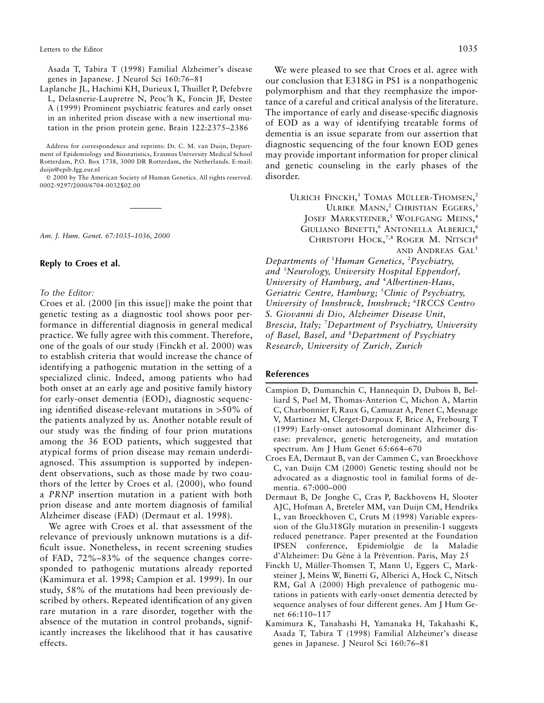Asada T, Tabira T (1998) Familial Alzheimer's disease genes in Japanese. J Neurol Sci 160:76–81

Laplanche JL, Hachimi KH, Durieux I, Thuillet P, Defebvre L, Delasnerie-Laupretre N, Peoc'h K, Foncin JF, Destee A (1999) Prominent psychiatric features and early onset in an inherited prion disease with a new insertional mutation in the prion protein gene. Brain 122:2375–2386

Address for correspondence and reprints: Dr. C. M. van Duijn, Department of Epidemiology and Biostatistics, Erasmus University Medical School Rotterdam, P.O. Box 1738, 3000 DR Rotterdam, the Netherlands. E-mail: duijn@epib.fgg.eur.nl

 $Q$  2000 by The American Society of Human Genetics. All rights reserved. 0002-9297/2000/6704-0032\$02.00

*Am. J. Hum. Genet. 67:1035–1036, 2000*

## **Reply to Croes et al.**

## *To the Editor:*

Croes et al. (2000 [in this issue]) make the point that genetic testing as a diagnostic tool shows poor performance in differential diagnosis in general medical practice. We fully agree with this comment. Therefore, one of the goals of our study (Finckh et al. 2000) was to establish criteria that would increase the chance of identifying a pathogenic mutation in the setting of a specialized clinic. Indeed, among patients who had both onset at an early age and positive family history for early-onset dementia (EOD), diagnostic sequencing identified disease-relevant mutations in  $>50\%$  of the patients analyzed by us. Another notable result of our study was the finding of four prion mutations among the 36 EOD patients, which suggested that atypical forms of prion disease may remain underdiagnosed. This assumption is supported by independent observations, such as those made by two coauthors of the letter by Croes et al. (2000), who found a *PRNP* insertion mutation in a patient with both prion disease and ante mortem diagnosis of familial Alzheimer disease (FAD) (Dermaut et al. 1998).

We agree with Croes et al. that assessment of the relevance of previously unknown mutations is a difficult issue. Nonetheless, in recent screening studies of FAD, 72%–83% of the sequence changes corresponded to pathogenic mutations already reported (Kamimura et al. 1998; Campion et al. 1999). In our study, 58% of the mutations had been previously described by others. Repeated identification of any given rare mutation in a rare disorder, together with the absence of the mutation in control probands, significantly increases the likelihood that it has causative effects.

We were pleased to see that Croes et al. agree with our conclusion that E318G in PS1 is a nonpathogenic polymorphism and that they reemphasize the importance of a careful and critical analysis of the literature. The importance of early and disease-specific diagnosis of EOD as a way of identifying treatable forms of dementia is an issue separate from our assertion that diagnostic sequencing of the four known EOD genes may provide important information for proper clinical and genetic counseling in the early phases of the disorder.

ULRICH FINCKH,<sup>1</sup> TOMAS MÜLLER-THOMSEN,<sup>2</sup> ULRIKE MANN,<sup>2</sup> CHRISTIAN EGGERS,<sup>3</sup> JOSEF MARKSTEINER, <sup>5</sup> WOLFGANG MEINS, 4 GIULIANO BINETTI, <sup>6</sup> ANTONELLA ALBERICI, 6 Christoph Hock,<sup>7,8</sup> Roger M. Nitsch<sup>8</sup> AND ANDREAS GAL<sup>1</sup>

*Departments of* <sup>1</sup> *Human Genetics,* <sup>2</sup> *Psychiatry, and* <sup>3</sup> *Neurology, University Hospital Eppendorf, University of Hamburg, and* <sup>4</sup> *Albertinen-Haus, Geriatric Centre, Hamburg;* <sup>5</sup> *Clinic of Psychiatry, University of Innsbruck, Innsbruck;* <sup>6</sup> *IRCCS Centro S. Giovanni di Dio, Alzheimer Disease Unit, Brescia, Italy;* <sup>7</sup> *Department of Psychiatry, University of Basel, Basel, and* <sup>8</sup> *Department of Psychiatry Research, University of Zurich, Zurich*

## **References**

- Campion D, Dumanchin C, Hannequin D, Dubois B, Belliard S, Puel M, Thomas-Anterion C, Michon A, Martin C, Charbonnier F, Raux G, Camuzat A, Penet C, Mesnage V, Martinez M, Clerget-Darpoux F, Brice A, Frebourg T (1999) Early-onset autosomal dominant Alzheimer disease: prevalence, genetic heterogeneity, and mutation spectrum. Am J Hum Genet 65:664–670
- Croes EA, Dermaut B, van der Cammen C, van Broeckhove C, van Duijn CM (2000) Genetic testing should not be advocated as a diagnostic tool in familial forms of dementia. 67:000–000
- Dermaut B, De Jonghe C, Cras P, Backhovens H, Slooter AJC, Hofman A, Breteler MM, van Duijn CM, Hendriks L, van Broeckhoven C, Cruts M (1998) Variable expression of the Glu318Gly mutation in presenilin-1 suggests reduced penetrance. Paper presented at the Foundation IPSEN conference, Epidemiolgie de la Maladie d'Alzheimer: Du Gène à la Prévention. Paris, May 25
- Finckh U, Müller-Thomsen T, Mann U, Eggers C, Marksteiner J, Meins W, Binetti G, Alberici A, Hock C, Nitsch RM, Gal A (2000) High prevalence of pathogenic mutations in patients with early-onset dementia detected by sequence analyses of four different genes. Am J Hum Genet 66:110–117
- Kamimura K, Tanahashi H, Yamanaka H, Takahashi K, Asada T, Tabira T (1998) Familial Alzheimer's disease genes in Japanese. J Neurol Sci 160:76–81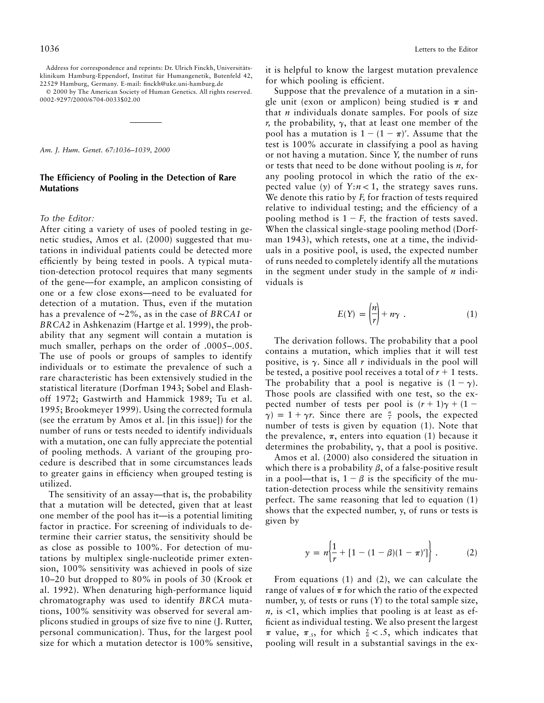Address for correspondence and reprints: Dr. Ulrich Finckh, Universitätsklinikum Hamburg-Eppendorf, Institut für Humangenetik, Butenfeld 42, 22529 Hamburg, Germany. E-mail: finckh@uke.uni-hamburg.de

 $Q$  2000 by The American Society of Human Genetics. All rights reserved. 0002-9297/2000/6704-0033\$02.00

*Am. J. Hum. Genet. 67:1036–1039, 2000*

# **The Efficiency of Pooling in the Detection of Rare Mutations**

# *To the Editor:*

After citing a variety of uses of pooled testing in genetic studies, Amos et al. (2000) suggested that mutations in individual patients could be detected more efficiently by being tested in pools. A typical mutation-detection protocol requires that many segments of the gene—for example, an amplicon consisting of one or a few close exons—need to be evaluated for detection of a mutation. Thus, even if the mutation has a prevalence of ∼2%, as in the case of *BRCA1* or *BRCA2* in Ashkenazim (Hartge et al. 1999), the probability that any segment will contain a mutation is much smaller, perhaps on the order of .0005–.005. The use of pools or groups of samples to identify individuals or to estimate the prevalence of such a rare characteristic has been extensively studied in the statistical literature (Dorfman 1943; Sobel and Elashoff 1972; Gastwirth and Hammick 1989; Tu et al. 1995; Brookmeyer 1999). Using the corrected formula (see the erratum by Amos et al. [in this issue]) for the number of runs or tests needed to identify individuals with a mutation, one can fully appreciate the potential of pooling methods. A variant of the grouping procedure is described that in some circumstances leads to greater gains in efficiency when grouped testing is utilized.

The sensitivity of an assay—that is, the probability that a mutation will be detected, given that at least one member of the pool has it—is a potential limiting factor in practice. For screening of individuals to determine their carrier status, the sensitivity should be as close as possible to 100%. For detection of mutations by multiplex single-nucleotide primer extension, 100% sensitivity was achieved in pools of size 10–20 but dropped to 80% in pools of 30 (Krook et al. 1992). When denaturing high-performance liquid chromatography was used to identify *BRCA* mutations, 100% sensitivity was observed for several amplicons studied in groups of size five to nine (J. Rutter, personal communication). Thus, for the largest pool size for which a mutation detector is 100% sensitive, it is helpful to know the largest mutation prevalence for which pooling is efficient.

Suppose that the prevalence of a mutation in a single unit (exon or amplicon) being studied is  $\pi$  and that *n* individuals donate samples. For pools of size  $r$ , the probability,  $\gamma$ , that at least one member of the pool has a mutation is  $1 - (1 - \pi)^r$ . Assume that the test is 100% accurate in classifying a pool as having or not having a mutation. Since *Y,* the number of runs or tests that need to be done without pooling is *n,* for any pooling protocol in which the ratio of the expected value (*y*) of  $Y: n < 1$ , the strategy saves runs. We denote this ratio by *F,* for fraction of tests required relative to individual testing; and the efficiency of a pooling method is  $1 - F$ , the fraction of tests saved. When the classical single-stage pooling method (Dorfman 1943), which retests, one at a time, the individuals in a positive pool, is used, the expected number of runs needed to completely identify all the mutations in the segment under study in the sample of *n* individuals is

$$
E(Y) = \left(\frac{n}{r}\right) + n\gamma \tag{1}
$$

The derivation follows. The probability that a pool contains a mutation, which implies that it will test positive, is  $\gamma$ . Since all *r* individuals in the pool will be tested, a positive pool receives a total of  $r + 1$  tests. The probability that a pool is negative is  $(1 - \gamma)$ . Those pools are classified with one test, so the expected number of tests per pool is  $(r + 1)\gamma + (1 \gamma$  = 1 +  $\gamma r$ . Since there are  $\frac{n}{r}$  pools, the expected number of tests is given by equation (1). Note that the prevalence,  $\pi$ , enters into equation (1) because it determines the probability,  $\gamma$ , that a pool is positive.

Amos et al. (2000) also considered the situation in which there is a probability  $\beta$ , of a false-positive result in a pool—that is,  $1 - \beta$  is the specificity of the mutation-detection process while the sensitivity remains perfect. The same reasoning that led to equation (1) shows that the expected number, y, of runs or tests is given by

$$
y = n \left[ \frac{1}{r} + [1 - (1 - \beta)(1 - \pi)^r] \right].
$$
 (2)

From equations (1) and (2), we can calculate the range of values of  $\pi$  for which the ratio of the expected number, *y,* of tests or runs (*Y*) to the total sample size, *n*, is  $\lt 1$ , which implies that pooling is at least as efficient as individual testing. We also present the largest  $\pi$  value,  $\pi_{.5}$ , for which  $\frac{\gamma}{n}$  < .5, which indicates that pooling will result in a substantial savings in the ex-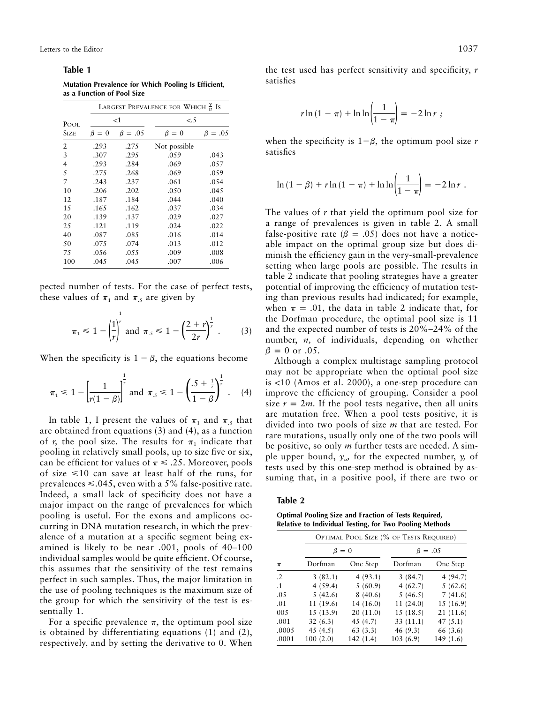### **Table 1**

**Mutation Prevalence for Which Pooling Is Efficient, as a Function of Pool Size**

|             | LARGEST PREVALENCE FOR WHICH $\frac{y}{n}$ Is |               |              |               |  |
|-------------|-----------------------------------------------|---------------|--------------|---------------|--|
| POOL        | $<$ 1                                         |               | $\lt.5$      |               |  |
| <b>SIZE</b> | $\beta = 0$                                   | $\beta = .05$ | $\beta = 0$  | $\beta = .05$ |  |
| 2           | .293                                          | .275          | Not possible |               |  |
| 3           | .307                                          | .295          | .059         | .043          |  |
| 4           | .293                                          | .284          | .069         | .057          |  |
| 5           | .275                                          | .268          | .069         | .059          |  |
| 7           | .243                                          | .237          | .061         | .054          |  |
| 10          | .206                                          | .202          | .050         | .045          |  |
| 12          | .187                                          | .184          | .044         | .040          |  |
| 15          | .165                                          | .162          | .037         | .034          |  |
| 20          | .139                                          | .137          | .029         | .027          |  |
| 25          | .121                                          | .119          | .024         | .022          |  |
| 40          | .087                                          | .085          | .016         | .014          |  |
| 50          | .075                                          | .074          | .013         | .012          |  |
| 75          | .056                                          | .055          | .009         | .008          |  |
| 100         | .045                                          | .045          | .007         | .006          |  |

pected number of tests. For the case of perfect tests, these values of  $\pi_1$  and  $\pi_5$  are given by

$$
\pi_1 \leq 1 - \left(\frac{1}{r}\right)^{\frac{1}{r}}
$$
 and  $\pi_5 \leq 1 - \left(\frac{2+r}{2r}\right)^{\frac{1}{r}}$ . (3)

When the specificity is  $1 - \beta$ , the equations become

$$
\pi_1 \leq 1 - \left[\frac{1}{r(1-\beta)}\right]^{\frac{1}{r}}
$$
 and  $\pi_5 \leq 1 - \left(\frac{.5 + \frac{1}{r}}{1-\beta}\right)^{\frac{1}{r}}$ . (4)

In table 1, I present the values of  $\pi_1$  and  $\pi_5$  that are obtained from equations (3) and (4), as a function of *r*, the pool size. The results for  $\pi_1$  indicate that pooling in relatively small pools, up to size five or six, can be efficient for values of  $\pi \le 0.25$ . Moreover, pools of size  $\leq 10$  can save at least half of the runs, for prevalences  $\leq 0.045$ , even with a 5% false-positive rate. Indeed, a small lack of specificity does not have a major impact on the range of prevalences for which pooling is useful. For the exons and amplicons occurring in DNA mutation research, in which the prevalence of a mutation at a specific segment being examined is likely to be near .001, pools of 40–100 individual samples would be quite efficient. Of course, this assumes that the sensitivity of the test remains perfect in such samples. Thus, the major limitation in the use of pooling techniques is the maximum size of the group for which the sensitivity of the test is essentially 1.

For a specific prevalence  $\pi$ , the optimum pool size is obtained by differentiating equations (1) and (2), respectively, and by setting the derivative to 0. When

the test used has perfect sensitivity and specificity, *r* satisfies

$$
r \ln (1 - \pi) + \ln \ln \left( \frac{1}{1 - \pi} \right) = -2 \ln r ;
$$

when the specificity is  $1-\beta$ , the optimum pool size *r* satisfies

$$
\ln (1 - \beta) + r \ln (1 - \pi) + \ln \ln \left( \frac{1}{1 - \pi} \right) = -2 \ln r.
$$

The values of *r* that yield the optimum pool size for a range of prevalences is given in table 2. A small false-positive rate ( $\beta = .05$ ) does not have a noticeable impact on the optimal group size but does diminish the efficiency gain in the very-small-prevalence setting when large pools are possible. The results in table 2 indicate that pooling strategies have a greater potential of improving the efficiency of mutation testing than previous results had indicated; for example, when  $\pi = .01$ , the data in table 2 indicate that, for the Dorfman procedure, the optimal pool size is 11 and the expected number of tests is 20%–24% of the number, *n,* of individuals, depending on whether  $\beta = 0$  or .05.

Although a complex multistage sampling protocol may not be appropriate when the optimal pool size is  $<10$  (Amos et al. 2000), a one-step procedure can improve the efficiency of grouping. Consider a pool size  $r = 2m$ . If the pool tests negative, then all units are mutation free. When a pool tests positive, it is divided into two pools of size *m* that are tested. For rare mutations, usually only one of the two pools will be positive, so only *m* further tests are needed. A simple upper bound, *yu,* for the expected number, *y,* of tests used by this one-step method is obtained by assuming that, in a positive pool, if there are two or

## **Table 2**

**Optimal Pooling Size and Fraction of Tests Required, Relative to Individual Testing, for Two Pooling Methods**

|           | OPTIMAL POOL SIZE (% OF TESTS REQUIRED) |           |               |           |  |  |
|-----------|-----------------------------------------|-----------|---------------|-----------|--|--|
|           | $\beta = 0$                             |           | $\beta = .05$ |           |  |  |
| $\pi$     | Dorfman                                 | One Step  | Dorfman       | One Step  |  |  |
| $\cdot$   | 3(82.1)                                 | 4(93.1)   | 3(84.7)       | 4(94.7)   |  |  |
| $\cdot$ 1 | 4(59.4)                                 | 5(60.9)   | 4(62.7)       | 5(62.6)   |  |  |
| .05       | 5(42.6)                                 | 8(40.6)   | 5(46.5)       | 7(41.6)   |  |  |
| .01       | 11 (19.6)                               | 14 (16.0) | 11(24.0)      | 15(16.9)  |  |  |
| 005       | 15(13.9)                                | 20(11.0)  | 15(18.5)      | 21(11.6)  |  |  |
| .001      | 32(6.3)                                 | 45 (4.7)  | 33(11.1)      | 47(5.1)   |  |  |
| .0005     | 45(4.5)                                 | 63(3.3)   | 46 (9.3)      | 66 (3.6)  |  |  |
| .0001     | 100(2.0)                                | 142 (1.4) | 103 (6.9)     | 149 (1.6) |  |  |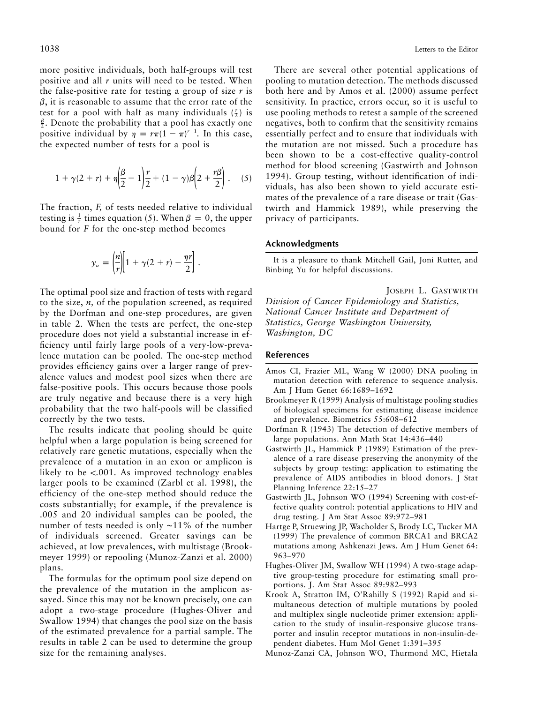more positive individuals, both half-groups will test positive and all *r* units will need to be tested. When the false-positive rate for testing a group of size *r* is  $\beta$ , it is reasonable to assume that the error rate of the test for a pool with half as many individuals  $(\frac{r}{2})$  is  $\frac{\beta}{2}$ . Denote the probability that a pool has exactly one positive individual by  $\eta = r\pi(1 - \pi)^{r-1}$ . In this case, the expected number of tests for a pool is

$$
1 + \gamma(2 + r) + \eta \left(\frac{\beta}{2} - 1\right) \frac{r}{2} + (1 - \gamma)\beta \left(2 + \frac{r\beta}{2}\right). \quad (5)
$$

The fraction, *F,* of tests needed relative to individual testing is  $\frac{1}{r}$  times equation (5). When  $\beta = 0$ , the upper bound for *F* for the one-step method becomes

$$
y_u = \left(\frac{n}{r}\right)\left[1+\gamma(2+r)-\frac{\eta r}{2}\right].
$$

The optimal pool size and fraction of tests with regard to the size, *n,* of the population screened, as required by the Dorfman and one-step procedures, are given in table 2. When the tests are perfect, the one-step procedure does not yield a substantial increase in efficiency until fairly large pools of a very-low-prevalence mutation can be pooled. The one-step method provides efficiency gains over a larger range of prevalence values and modest pool sizes when there are false-positive pools. This occurs because those pools are truly negative and because there is a very high probability that the two half-pools will be classified correctly by the two tests.

The results indicate that pooling should be quite helpful when a large population is being screened for relatively rare genetic mutations, especially when the prevalence of a mutation in an exon or amplicon is likely to be  $\lt$  001. As improved technology enables larger pools to be examined (Zarbl et al. 1998), the efficiency of the one-step method should reduce the costs substantially; for example, if the prevalence is .005 and 20 individual samples can be pooled, the number of tests needed is only ∼11% of the number of individuals screened. Greater savings can be achieved, at low prevalences, with multistage (Brookmeyer 1999) or repooling (Munoz-Zanzi et al. 2000) plans.

The formulas for the optimum pool size depend on the prevalence of the mutation in the amplicon assayed. Since this may not be known precisely, one can adopt a two-stage procedure (Hughes-Oliver and Swallow 1994) that changes the pool size on the basis of the estimated prevalence for a partial sample. The results in table 2 can be used to determine the group size for the remaining analyses.

There are several other potential applications of pooling to mutation detection. The methods discussed both here and by Amos et al. (2000) assume perfect sensitivity. In practice, errors occur, so it is useful to use pooling methods to retest a sample of the screened negatives, both to confirm that the sensitivity remains essentially perfect and to ensure that individuals with the mutation are not missed. Such a procedure has been shown to be a cost-effective quality-control method for blood screening (Gastwirth and Johnson 1994). Group testing, without identification of individuals, has also been shown to yield accurate estimates of the prevalence of a rare disease or trait (Gastwirth and Hammick 1989), while preserving the privacy of participants.

## **Acknowledgments**

It is a pleasure to thank Mitchell Gail, Joni Rutter, and Binbing Yu for helpful discussions.

JOSEPH L. GASTWIRTH *Division of Cancer Epidemiology and Statistics, National Cancer Institute and Department of Statistics, George Washington University, Washington, DC*

# **References**

- Amos CI, Frazier ML, Wang W (2000) DNA pooling in mutation detection with reference to sequence analysis. Am J Hum Genet 66:1689–1692
- Brookmeyer R (1999) Analysis of multistage pooling studies of biological specimens for estimating disease incidence and prevalence. Biometrics 55:608–612
- Dorfman R (1943) The detection of defective members of large populations. Ann Math Stat 14:436–440
- Gastwirth JL, Hammick P (1989) Estimation of the prevalence of a rare disease preserving the anonymity of the subjects by group testing: application to estimating the prevalence of AIDS antibodies in blood donors. J Stat Planning Inference 22:15–27
- Gastwirth JL, Johnson WO (1994) Screening with cost-effective quality control: potential applications to HIV and drug testing. J Am Stat Assoc 89:972–981
- Hartge P, Struewing JP, Wacholder S, Brody LC, Tucker MA (1999) The prevalence of common BRCA1 and BRCA2 mutations among Ashkenazi Jews. Am J Hum Genet 64: 963–970
- Hughes-Oliver JM, Swallow WH (1994) A two-stage adaptive group-testing procedure for estimating small proportions. J. Am Stat Assoc 89:982–993
- Krook A, Stratton IM, O'Rahilly S (1992) Rapid and simultaneous detection of multiple mutations by pooled and multiplex single nucleotide primer extension: application to the study of insulin-responsive glucose transporter and insulin receptor mutations in non-insulin-dependent diabetes. Hum Mol Genet 1:391–395
- Munoz-Zanzi CA, Johnson WO, Thurmond MC, Hietala